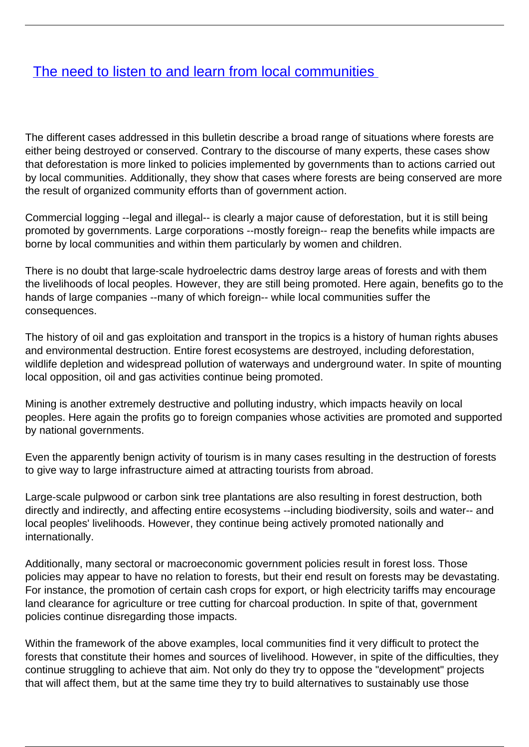## [The need to listen to and learn from local communities](/bulletin-articles/the-need-to-listen-to-and-learn-from-local-communities)

The different cases addressed in this bulletin describe a broad range of situations where forests are either being destroyed or conserved. Contrary to the discourse of many experts, these cases show that deforestation is more linked to policies implemented by governments than to actions carried out by local communities. Additionally, they show that cases where forests are being conserved are more the result of organized community efforts than of government action.

Commercial logging --legal and illegal-- is clearly a major cause of deforestation, but it is still being promoted by governments. Large corporations --mostly foreign-- reap the benefits while impacts are borne by local communities and within them particularly by women and children.

There is no doubt that large-scale hydroelectric dams destroy large areas of forests and with them the livelihoods of local peoples. However, they are still being promoted. Here again, benefits go to the hands of large companies --many of which foreign-- while local communities suffer the consequences.

The history of oil and gas exploitation and transport in the tropics is a history of human rights abuses and environmental destruction. Entire forest ecosystems are destroyed, including deforestation, wildlife depletion and widespread pollution of waterways and underground water. In spite of mounting local opposition, oil and gas activities continue being promoted.

Mining is another extremely destructive and polluting industry, which impacts heavily on local peoples. Here again the profits go to foreign companies whose activities are promoted and supported by national governments.

Even the apparently benign activity of tourism is in many cases resulting in the destruction of forests to give way to large infrastructure aimed at attracting tourists from abroad.

Large-scale pulpwood or carbon sink tree plantations are also resulting in forest destruction, both directly and indirectly, and affecting entire ecosystems --including biodiversity, soils and water-- and local peoples' livelihoods. However, they continue being actively promoted nationally and internationally.

Additionally, many sectoral or macroeconomic government policies result in forest loss. Those policies may appear to have no relation to forests, but their end result on forests may be devastating. For instance, the promotion of certain cash crops for export, or high electricity tariffs may encourage land clearance for agriculture or tree cutting for charcoal production. In spite of that, government policies continue disregarding those impacts.

Within the framework of the above examples, local communities find it very difficult to protect the forests that constitute their homes and sources of livelihood. However, in spite of the difficulties, they continue struggling to achieve that aim. Not only do they try to oppose the "development" projects that will affect them, but at the same time they try to build alternatives to sustainably use those